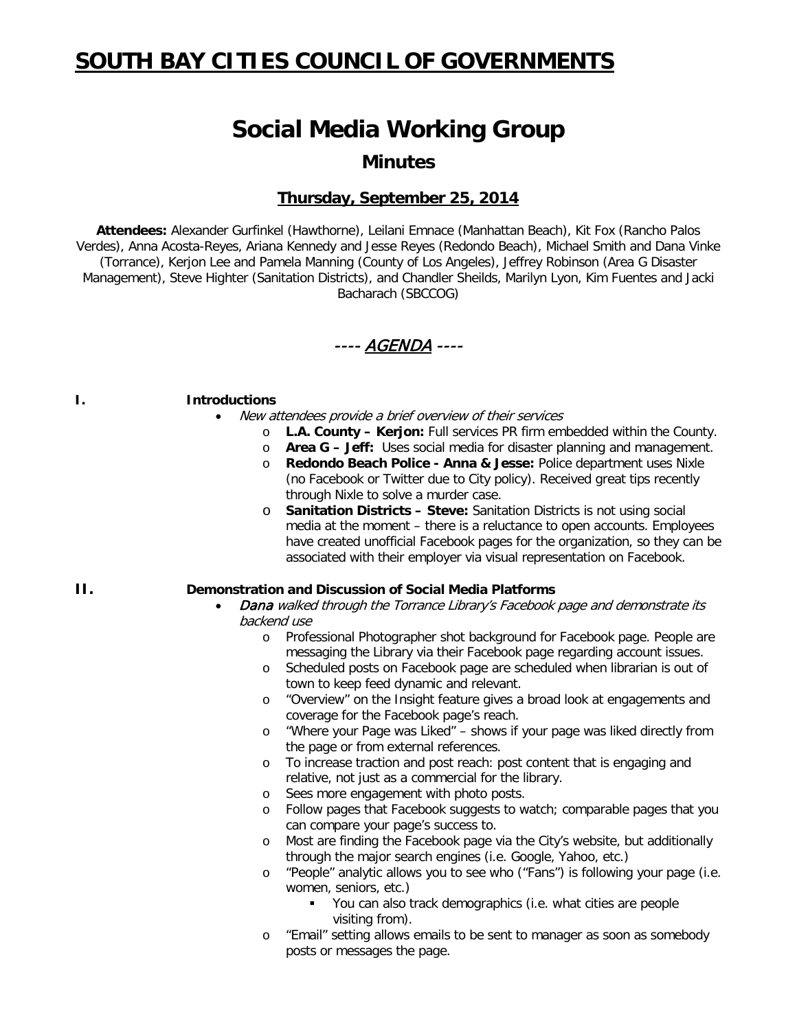# **SOUTH BAY CITIES COUNCIL OF GOVERNMENTS**

# **Social Media Working Group**

**Minutes**

## **Thursday, September 25, 2014**

**Attendees:** Alexander Gurfinkel (Hawthorne), Leilani Emnace (Manhattan Beach), Kit Fox (Rancho Palos Verdes), Anna Acosta-Reyes, Ariana Kennedy and Jesse Reyes (Redondo Beach), Michael Smith and Dana Vinke (Torrance), Kerjon Lee and Pamela Manning (County of Los Angeles), Jeffrey Robinson (Area G Disaster Management), Steve Highter (Sanitation Districts), and Chandler Sheilds, Marilyn Lyon, Kim Fuentes and Jacki Bacharach (SBCCOG)

---- AGENDA ----

#### **I. Introductions**

- New attendees provide a brief overview of their services
	- o **L.A. County – Kerjon:** Full services PR firm embedded within the County.
	- o **Area G – Jeff:** Uses social media for disaster planning and management.
	- o **Redondo Beach Police - Anna & Jesse:** Police department uses Nixle (no Facebook or Twitter due to City policy). Received great tips recently through Nixle to solve a murder case.
	- o **Sanitation Districts – Steve:** Sanitation Districts is not using social media at the moment – there is a reluctance to open accounts. Employees have created unofficial Facebook pages for the organization, so they can be associated with their employer via visual representation on Facebook.

#### **II. Demonstration and Discussion of Social Media Platforms**

- Dana walked through the Torrance Library's Facebook page and demonstrate its backend use
	- o Professional Photographer shot background for Facebook page. People are messaging the Library via their Facebook page regarding account issues.
	- o Scheduled posts on Facebook page are scheduled when librarian is out of town to keep feed dynamic and relevant.
	- o "Overview" on the Insight feature gives a broad look at engagements and coverage for the Facebook page's reach.
	- o "Where your Page was Liked" shows if your page was liked directly from the page or from external references.
	- o To increase traction and post reach: post content that is engaging and relative, not just as a commercial for the library.
	- o Sees more engagement with photo posts.
	- o Follow pages that Facebook suggests to watch; comparable pages that you can compare your page's success to.
	- o Most are finding the Facebook page via the City's website, but additionally through the major search engines (i.e. Google, Yahoo, etc.)
	- o "People" analytic allows you to see who ("Fans") is following your page (i.e. women, seniors, etc.)
		- You can also track demographics (i.e. what cities are people visiting from).
	- o "Email" setting allows emails to be sent to manager as soon as somebody posts or messages the page.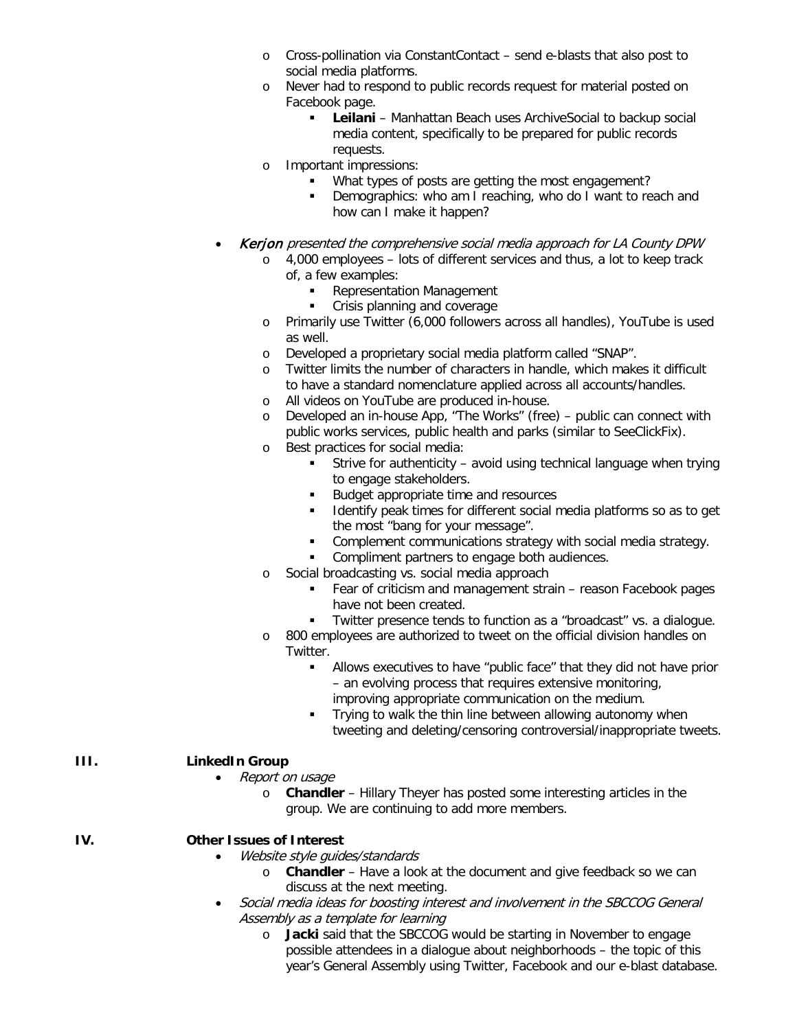- o Cross-pollination via ConstantContact send e-blasts that also post to social media platforms.
- o Never had to respond to public records request for material posted on Facebook page.
	- **Leilani** Manhattan Beach uses ArchiveSocial to backup social media content, specifically to be prepared for public records requests.
- o Important impressions:
	- What types of posts are getting the most engagement?
	- **Demographics: who am I reaching, who do I want to reach and** how can I make it happen?
- Kerjon presented the comprehensive social media approach for LA County DPW
	- o 4,000 employees lots of different services and thus, a lot to keep track of, a few examples:
		- **Representation Management**
		- **Crisis planning and coverage**
	- o Primarily use Twitter (6,000 followers across all handles), YouTube is used as well.
	- o Developed a proprietary social media platform called "SNAP".
	- o Twitter limits the number of characters in handle, which makes it difficult to have a standard nomenclature applied across all accounts/handles.
	- o All videos on YouTube are produced in-house.
	- o Developed an in-house App, "The Works" (free) public can connect with public works services, public health and parks (similar to SeeClickFix).
	- o Best practices for social media:
		- Strive for authenticity avoid using technical language when trying to engage stakeholders.
		- Budget appropriate time and resources
		- Identify peak times for different social media platforms so as to get the most "bang for your message".
		- Complement communications strategy with social media strategy.
		- **Compliment partners to engage both audiences.**
	- o Social broadcasting vs. social media approach
		- Fear of criticism and management strain reason Facebook pages have not been created.
		- Twitter presence tends to function as a "broadcast" vs. a dialogue.
	- o 800 employees are authorized to tweet on the official division handles on Twitter.
		- Allows executives to have "public face" that they did not have prior – an evolving process that requires extensive monitoring, improving appropriate communication on the medium.
		- **Trying to walk the thin line between allowing autonomy when** tweeting and deleting/censoring controversial/inappropriate tweets.

### **III. LinkedIn Group**

- Report on usage
	- o **Chandler** Hillary Theyer has posted some interesting articles in the group. We are continuing to add more members.
- **IV. Other Issues of Interest**
	- Website style guides/standards
		- o **Chandler** Have a look at the document and give feedback so we can discuss at the next meeting.
	- Social media ideas for boosting interest and involvement in the SBCCOG General Assembly as a template for learning
		- o **Jacki** said that the SBCCOG would be starting in November to engage possible attendees in a dialogue about neighborhoods – the topic of this year's General Assembly using Twitter, Facebook and our e-blast database.